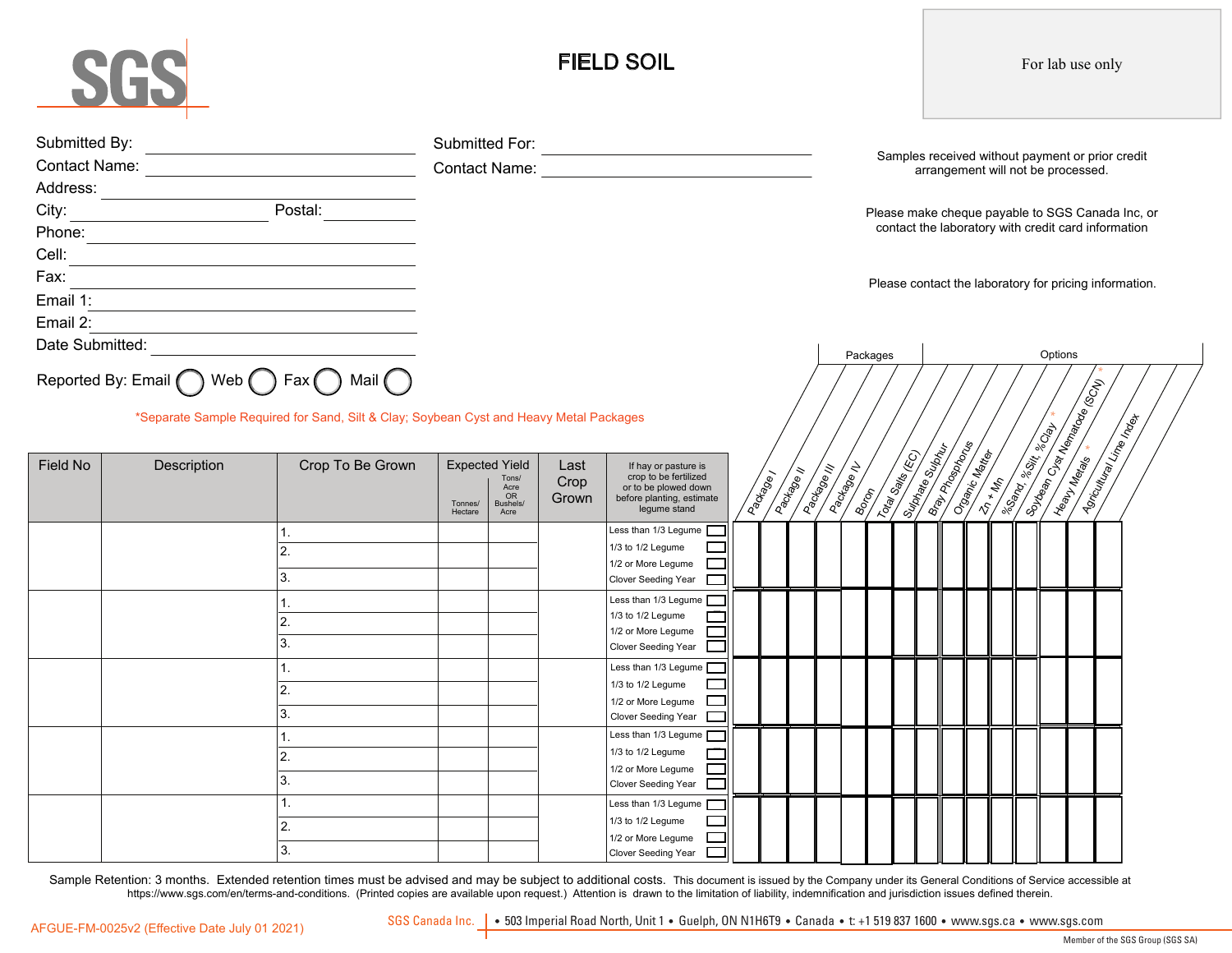# SGS

# FIELD SOIL

For lab use only

| Submitted By:<br>Address:<br>City: Postal: Postal:<br>Cell:<br><u> 1980 - Jan James James Sandarík (</u> † 1920)<br>Fax:<br>Email 1:<br><u> 1989 - John Stein, Amerikaansk politiker (</u><br>Email 2: |             |                              |                                                                                        |  |                       | Contact Name: Name: Name and Security and Security and Security and Security and Security and Security and Security and Security and Security and Security and Security and Security and Security and Security and Security an |                      |            |                        |                            |      |                  |                        |                                                    | arrangement will not be processed.                                                                                                                                                                                                   |  |  | Samples received without payment or prior credit<br>Please make cheque payable to SGS Canada Inc, or<br>contact the laboratory with credit card information<br>Please contact the laboratory for pricing information. |  |  |
|--------------------------------------------------------------------------------------------------------------------------------------------------------------------------------------------------------|-------------|------------------------------|----------------------------------------------------------------------------------------|--|-----------------------|--------------------------------------------------------------------------------------------------------------------------------------------------------------------------------------------------------------------------------|----------------------|------------|------------------------|----------------------------|------|------------------|------------------------|----------------------------------------------------|--------------------------------------------------------------------------------------------------------------------------------------------------------------------------------------------------------------------------------------|--|--|-----------------------------------------------------------------------------------------------------------------------------------------------------------------------------------------------------------------------|--|--|
| Date Submitted:<br>Reported By: Email ( ) Web ( ) Fax ( ) Mail ( )<br>*Separate Sample Required for Sand, Silt & Clay; Soybean Cyst and Heavy Metal Packages                                           |             |                              |                                                                                        |  |                       |                                                                                                                                                                                                                                |                      |            |                        | Packages                   |      |                  |                        |                                                    | Options<br><b>Contract Change Replaced Contract Change Contract Change Replaced Change Change Change Change Change Change Change</b>                                                                                                 |  |  |                                                                                                                                                                                                                       |  |  |
| Field No                                                                                                                                                                                               | Description | Crop To Be Grown             | <b>Expected Yield</b><br>Tons/<br>Acre<br>OR<br>Bushels/<br>Tonnes/<br>Hectare<br>Acre |  | Last<br>Crop<br>Grown | If hay or pasture is<br>crop to be fertilized<br>or to be plowed down<br>before planting, estimate<br>legume stand                                                                                                             | Package <sub>/</sub> | Package II | <b>Address Address</b> | <b>Address of Division</b> | Book | Total Sails (EC) | <b>Surface Surface</b> | <b>Braylor Reserved</b><br><b>Committee Report</b> | <b>All Strategy of the Community of the Community of the Community of the Community of the Community of the Community of the Community of the Community of the Community of the Community of the Community of the Community of t</b> |  |  | I Sorculum Lime Index                                                                                                                                                                                                 |  |  |
|                                                                                                                                                                                                        |             | 1.<br>2.<br>3.               |                                                                                        |  |                       | Less than $1/3$ Legume $\blacksquare$<br>1/3 to 1/2 Legume<br>1/2 or More Legume<br>Clover Seeding Year                                                                                                                        |                      |            |                        |                            |      |                  |                        |                                                    |                                                                                                                                                                                                                                      |  |  |                                                                                                                                                                                                                       |  |  |
|                                                                                                                                                                                                        |             | 1.<br>2.<br>3.               |                                                                                        |  |                       | Less than 1/3 Legume<br>1/3 to 1/2 Legume<br>1/2 or More Legume<br>Clover Seeding Year                                                                                                                                         |                      |            |                        |                            |      |                  |                        |                                                    |                                                                                                                                                                                                                                      |  |  |                                                                                                                                                                                                                       |  |  |
|                                                                                                                                                                                                        |             | $\overline{1}$ .<br>2.<br>3. |                                                                                        |  |                       | Less than 1/3 Legume<br>1/3 to 1/2 Legume<br>1/2 or More Legume<br>Clover Seeding Year                                                                                                                                         |                      |            |                        |                            |      |                  |                        |                                                    |                                                                                                                                                                                                                                      |  |  |                                                                                                                                                                                                                       |  |  |
|                                                                                                                                                                                                        |             | 1.<br>2.<br>3.               |                                                                                        |  |                       | Less than 1/3 Legume<br>1/3 to 1/2 Legume<br>1/2 or More Legume<br>Clover Seeding Year                                                                                                                                         |                      |            |                        |                            |      |                  |                        |                                                    |                                                                                                                                                                                                                                      |  |  |                                                                                                                                                                                                                       |  |  |
|                                                                                                                                                                                                        |             | $\overline{1}$ .<br>2.<br>3. |                                                                                        |  |                       | Less than 1/3 Legume<br>1/3 to 1/2 Legume<br>1/2 or More Legume<br>Clover Seeding Year                                                                                                                                         |                      |            |                        |                            |      |                  |                        |                                                    |                                                                                                                                                                                                                                      |  |  |                                                                                                                                                                                                                       |  |  |

Sample Retention: 3 months. Extended retention times must be advised and may be subject to additional costs. This document is issued by the Company under its General Conditions of Service accessible at https://www.sgs.com/en/terms-and-conditions. (Printed copies are available upon request.) Attention is drawn to the limitation of liability, indemnification and jurisdiction issues defined therein.